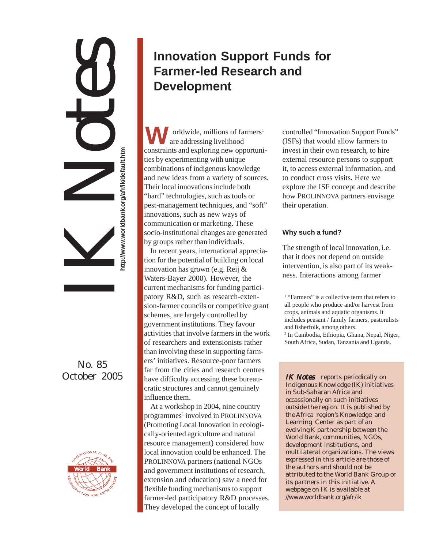# IK Notes http://www.worldbank.org/afr/ik/default.htm **http://www.worldbank.org/afr/ik/default.htm**

## No. 85 October 2005



# **Innovation Support Funds for Farmer-led Research and Development**

**W**constraints and exploring new opportuniorldwide, millions of farmers<sup>1</sup> ties by experimenting with unique combinations of indigenous knowledge and new ideas from a variety of sources. Their local innovations include both "hard" technologies, such as tools or pest-management techniques, and "soft" innovations, such as new ways of communication or marketing. These socio-institutional changes are generated by groups rather than individuals. are addressing livelihood

In recent years, international appreciation for the potential of building on local innovation has grown (e.g. Reij & Waters-Bayer 2000). However, the current mechanisms for funding participatory R&D, such as research-extension-farmer councils or competitive grant schemes, are largely controlled by government institutions. They favour activities that involve farmers in the work of researchers and extensionists rather than involving these in supporting farmers' initiatives. Resource-poor farmers far from the cities and research centres have difficulty accessing these bureaucratic structures and cannot genuinely influence them.

At a workshop in 2004, nine country programmes<sup>1</sup> involved in PROLINNOVA (Promoting Local Innovation in ecologically-oriented agriculture and natural resource management) considered how local innovation could be enhanced. The PROLINNOVA partners (national NGOs and government institutions of research, extension and education) saw a need for flexible funding mechanisms to support farmer-led participatory R&D processes. They developed the concept of locally

controlled "Innovation Support Funds" (ISFs) that would allow farmers to invest in their own research, to hire external resource persons to support it, to access external information, and to conduct cross visits. Here we explore the ISF concept and describe how PROLINNOVA partners envisage their operation.

### **Why such a fund?**

The strength of local innovation, i.e. that it does not depend on outside intervention, is also part of its weakness. Interactions among farmer

<sup>1</sup> "Farmers" is a collective term that refers to all people who produce and/or harvest from crops, animals and aquatic organisms. It includes peasant / family farmers, pastoralists and fisherfolk, among others.

2 In Cambodia, Ethiopia, Ghana, Nepal, Niger, South Africa, Sudan, Tanzania and Uganda.

IK Notes reports periodically on Indigenous Knowledge (IK) initiatives in Sub-Saharan Africa and occassionally on such initiatives outside the region. It is published by the Africa region's Knowledge and Learning Center as part of an evolving K partnership between the World Bank, communities, NGOs, development institutions, and multilateral organizations. The views expressed in this article are those of the authors and should not be attributed to the World Bank Group or its partners in this initiative. A webpage on IK is available at //www.worldbank.org/afr/ik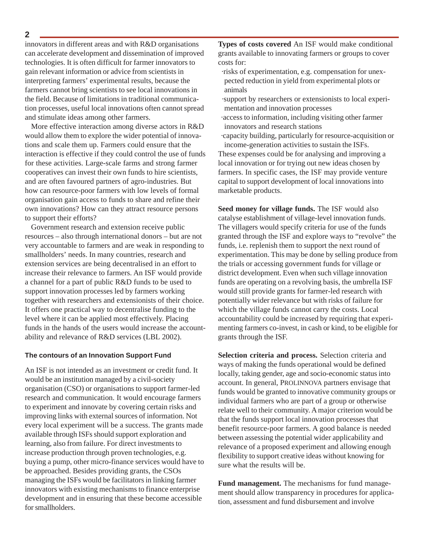### **2**

innovators in different areas and with R&D organisations can accelerate development and dissemination of improved technologies. It is often difficult for farmer innovators to gain relevant information or advice from scientists in interpreting farmers' experimental results, because the farmers cannot bring scientists to see local innovations in the field. Because of limitations in traditional communication processes, useful local innovations often cannot spread and stimulate ideas among other farmers.

More effective interaction among diverse actors in R&D would allow them to explore the wider potential of innovations and scale them up. Farmers could ensure that the interaction is effective if they could control the use of funds for these activities. Large-scale farms and strong farmer cooperatives can invest their own funds to hire scientists, and are often favoured partners of agro-industries. But how can resource-poor farmers with low levels of formal organisation gain access to funds to share and refine their own innovations? How can they attract resource persons to support their efforts?

Government research and extension receive public resources – also through international donors – but are not very accountable to farmers and are weak in responding to smallholders' needs. In many countries, research and extension services are being decentralised in an effort to increase their relevance to farmers. An ISF would provide a channel for a part of public R&D funds to be used to support innovation processes led by farmers working together with researchers and extensionists of their choice. It offers one practical way to decentralise funding to the level where it can be applied most effectively. Placing funds in the hands of the users would increase the accountability and relevance of R&D services (LBL 2002).

### **The contours of an Innovation Support Fund**

An ISF is not intended as an investment or credit fund. It would be an institution managed by a civil-society organisation (CSO) or organisations to support farmer-led research and communication. It would encourage farmers to experiment and innovate by covering certain risks and improving links with external sources of information. Not every local experiment will be a success. The grants made available through ISFs should support exploration and learning, also from failure. For direct investments to increase production through proven technologies, e.g. buying a pump, other micro-finance services would have to be approached. Besides providing grants, the CSOs managing the ISFs would be facilitators in linking farmer innovators with existing mechanisms to finance enterprise development and in ensuring that these become accessible for smallholders.

**Types of costs covered** An ISF would make conditional grants available to innovating farmers or groups to cover costs for:

- ·risks of experimentation, e.g. compensation for unexpected reduction in yield from experimental plots or animals
- ·support by researchers or extensionists to local experimentation and innovation processes
- ·access to information, including visiting other farmer innovators and research stations
- ·capacity building, particularly for resource-acquisition or income-generation activities to sustain the ISFs.

These expenses could be for analysing and improving a local innovation or for trying out new ideas chosen by farmers. In specific cases, the ISF may provide venture capital to support development of local innovations into marketable products.

**Seed money for village funds.** The ISF would also catalyse establishment of village-level innovation funds. The villagers would specify criteria for use of the funds granted through the ISF and explore ways to "revolve" the funds, i.e. replenish them to support the next round of experimentation. This may be done by selling produce from the trials or accessing government funds for village or district development. Even when such village innovation funds are operating on a revolving basis, the umbrella ISF would still provide grants for farmer-led research with potentially wider relevance but with risks of failure for which the village funds cannot carry the costs. Local accountability could be increased by requiring that experimenting farmers co-invest, in cash or kind, to be eligible for grants through the ISF.

**Selection criteria and process.** Selection criteria and ways of making the funds operational would be defined locally, taking gender, age and socio-economic status into account. In general, PROLINNOVA partners envisage that funds would be granted to innovative community groups or individual farmers who are part of a group or otherwise relate well to their community. A major criterion would be that the funds support local innovation processes that benefit resource-poor farmers. A good balance is needed between assessing the potential wider applicability and relevance of a proposed experiment and allowing enough flexibility to support creative ideas without knowing for sure what the results will be.

**Fund management.** The mechanisms for fund management should allow transparency in procedures for application, assessment and fund disbursement and involve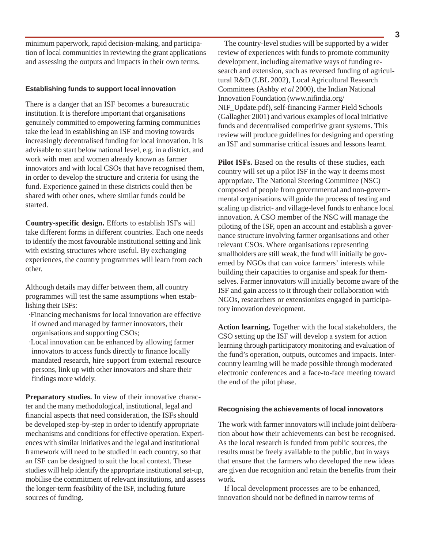minimum paperwork, rapid decision-making, and participation of local communities in reviewing the grant applications and assessing the outputs and impacts in their own terms.

### **Establishing funds to support local innovation**

There is a danger that an ISF becomes a bureaucratic institution. It is therefore important that organisations genuinely committed to empowering farming communities take the lead in establishing an ISF and moving towards increasingly decentralised funding for local innovation. It is advisable to start below national level, e.g. in a district, and work with men and women already known as farmer innovators and with local CSOs that have recognised them, in order to develop the structure and criteria for using the fund. Experience gained in these districts could then be shared with other ones, where similar funds could be started.

**Country-specific design.** Efforts to establish ISFs will take different forms in different countries. Each one needs to identify the most favourable institutional setting and link with existing structures where useful. By exchanging experiences, the country programmes will learn from each other.

Although details may differ between them, all country programmes will test the same assumptions when establishing their ISFs:

- ·Financing mechanisms for local innovation are effective if owned and managed by farmer innovators, their organisations and supporting CSOs;
- ·Local innovation can be enhanced by allowing farmer innovators to access funds directly to finance locally mandated research, hire support from external resource persons, link up with other innovators and share their findings more widely.

**Preparatory studies.** In view of their innovative character and the many methodological, institutional, legal and financial aspects that need consideration, the ISFs should be developed step-by-step in order to identify appropriate mechanisms and conditions for effective operation. Experiences with similar initiatives and the legal and institutional framework will need to be studied in each country, so that an ISF can be designed to suit the local context. These studies will help identify the appropriate institutional set-up, mobilise the commitment of relevant institutions, and assess the longer-term feasibility of the ISF, including future sources of funding.

The country-level studies will be supported by a wider review of experiences with funds to promote community development, including alternative ways of funding research and extension, such as reversed funding of agricultural R&D (LBL 2002), Local Agricultural Research Committees (Ashby *et al* 2000), the Indian National Innovation Foundation (www.nifindia.org/ NIF\_Update.pdf), self-financing Farmer Field Schools (Gallagher 2001) and various examples of local initiative funds and decentralised competitive grant systems. This review will produce guidelines for designing and operating an ISF and summarise critical issues and lessons learnt.

**Pilot ISFs.** Based on the results of these studies, each country will set up a pilot ISF in the way it deems most appropriate. The National Steering Committee (NSC) composed of people from governmental and non-governmental organisations will guide the process of testing and scaling up district- and village-level funds to enhance local innovation. A CSO member of the NSC will manage the piloting of the ISF, open an account and establish a governance structure involving farmer organisations and other relevant CSOs. Where organisations representing smallholders are still weak, the fund will initially be governed by NGOs that can voice farmers' interests while building their capacities to organise and speak for themselves. Farmer innovators will initially become aware of the ISF and gain access to it through their collaboration with NGOs, researchers or extensionists engaged in participatory innovation development.

**Action learning.** Together with the local stakeholders, the CSO setting up the ISF will develop a system for action learning through participatory monitoring and evaluation of the fund's operation, outputs, outcomes and impacts. Intercountry learning will be made possible through moderated electronic conferences and a face-to-face meeting toward the end of the pilot phase.

### **Recognising the achievements of local innovators**

The work with farmer innovators will include joint deliberation about how their achievements can best be recognised. As the local research is funded from public sources, the results must be freely available to the public, but in ways that ensure that the farmers who developed the new ideas are given due recognition and retain the benefits from their work.

If local development processes are to be enhanced, innovation should not be defined in narrow terms of